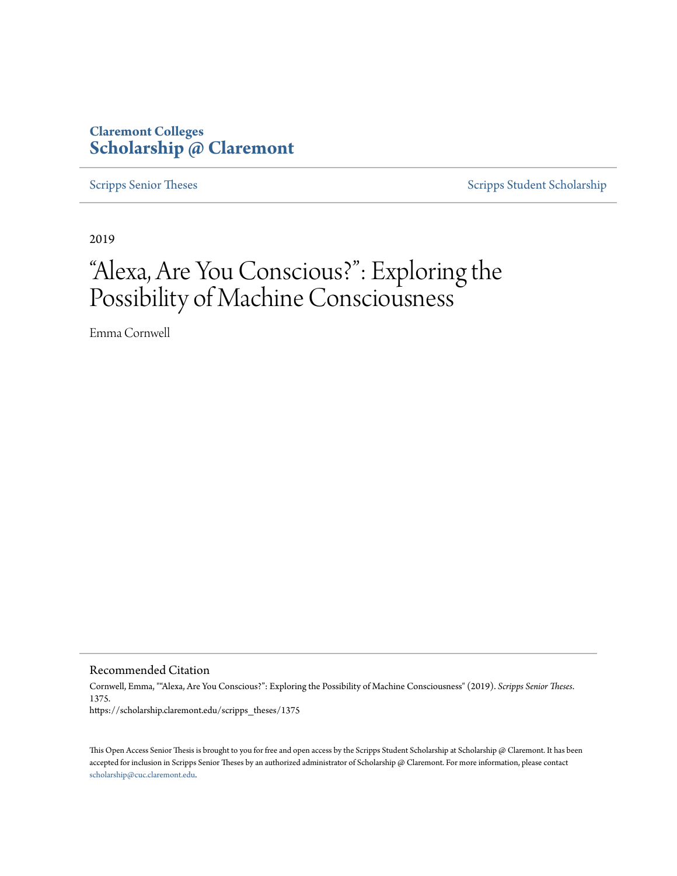### **Claremont Colleges [Scholarship @ Claremont](https://scholarship.claremont.edu)**

[Scripps Senior Theses](https://scholarship.claremont.edu/scripps_theses) [Scripps Student Scholarship](https://scholarship.claremont.edu/scripps_student)

2019

# "Alexa, Are You Conscious?": Exploring the Possibility of Machine Consciousness

Emma Cornwell

Recommended Citation

Cornwell, Emma, ""Alexa, Are You Conscious?": Exploring the Possibility of Machine Consciousness" (2019). *Scripps Senior Theses*. 1375. https://scholarship.claremont.edu/scripps\_theses/1375

This Open Access Senior Thesis is brought to you for free and open access by the Scripps Student Scholarship at Scholarship @ Claremont. It has been accepted for inclusion in Scripps Senior Theses by an authorized administrator of Scholarship @ Claremont. For more information, please contact [scholarship@cuc.claremont.edu.](mailto:scholarship@cuc.claremont.edu)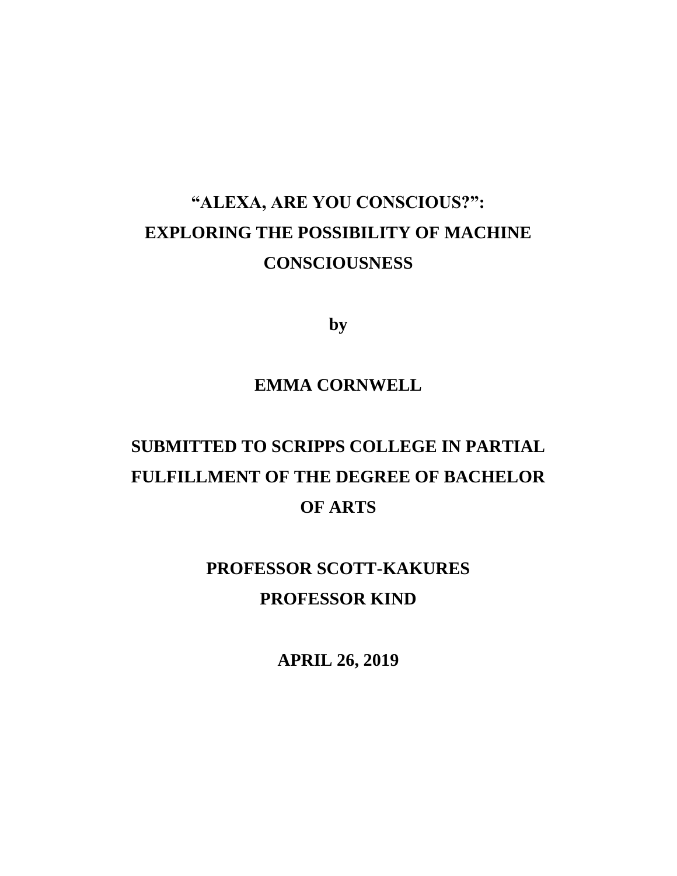## **"ALEXA, ARE YOU CONSCIOUS?": EXPLORING THE POSSIBILITY OF MACHINE CONSCIOUSNESS**

**by**

### **EMMA CORNWELL**

## **SUBMITTED TO SCRIPPS COLLEGE IN PARTIAL FULFILLMENT OF THE DEGREE OF BACHELOR OF ARTS**

### **PROFESSOR SCOTT-KAKURES PROFESSOR KIND**

**APRIL 26, 2019**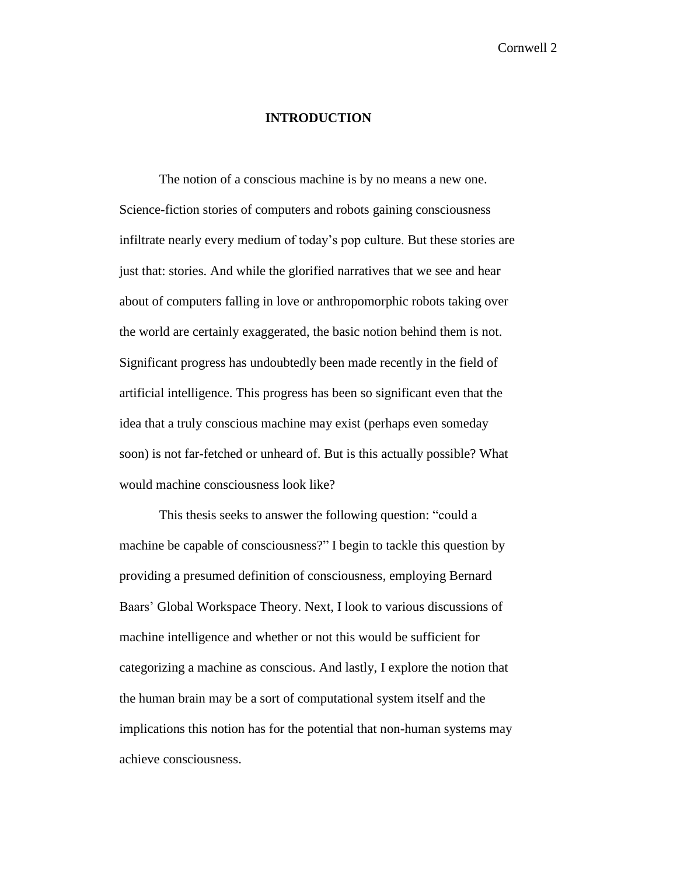#### **INTRODUCTION**

The notion of a conscious machine is by no means a new one. Science-fiction stories of computers and robots gaining consciousness infiltrate nearly every medium of today's pop culture. But these stories are just that: stories. And while the glorified narratives that we see and hear about of computers falling in love or anthropomorphic robots taking over the world are certainly exaggerated, the basic notion behind them is not. Significant progress has undoubtedly been made recently in the field of artificial intelligence. This progress has been so significant even that the idea that a truly conscious machine may exist (perhaps even someday soon) is not far-fetched or unheard of. But is this actually possible? What would machine consciousness look like?

This thesis seeks to answer the following question: "could a machine be capable of consciousness?" I begin to tackle this question by providing a presumed definition of consciousness, employing Bernard Baars' Global Workspace Theory. Next, I look to various discussions of machine intelligence and whether or not this would be sufficient for categorizing a machine as conscious. And lastly, I explore the notion that the human brain may be a sort of computational system itself and the implications this notion has for the potential that non-human systems may achieve consciousness.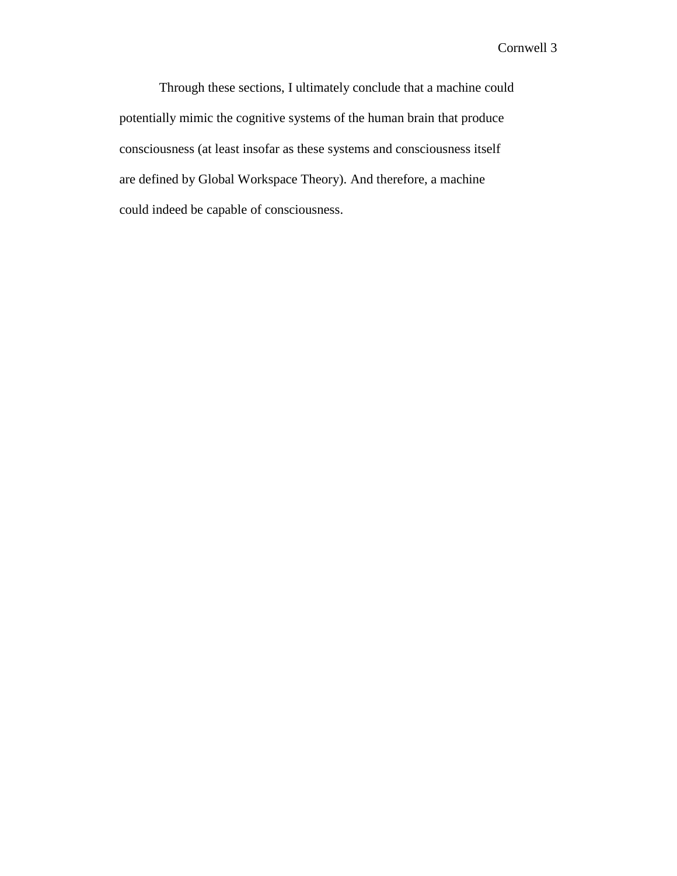Through these sections, I ultimately conclude that a machine could potentially mimic the cognitive systems of the human brain that produce consciousness (at least insofar as these systems and consciousness itself are defined by Global Workspace Theory). And therefore, a machine could indeed be capable of consciousness.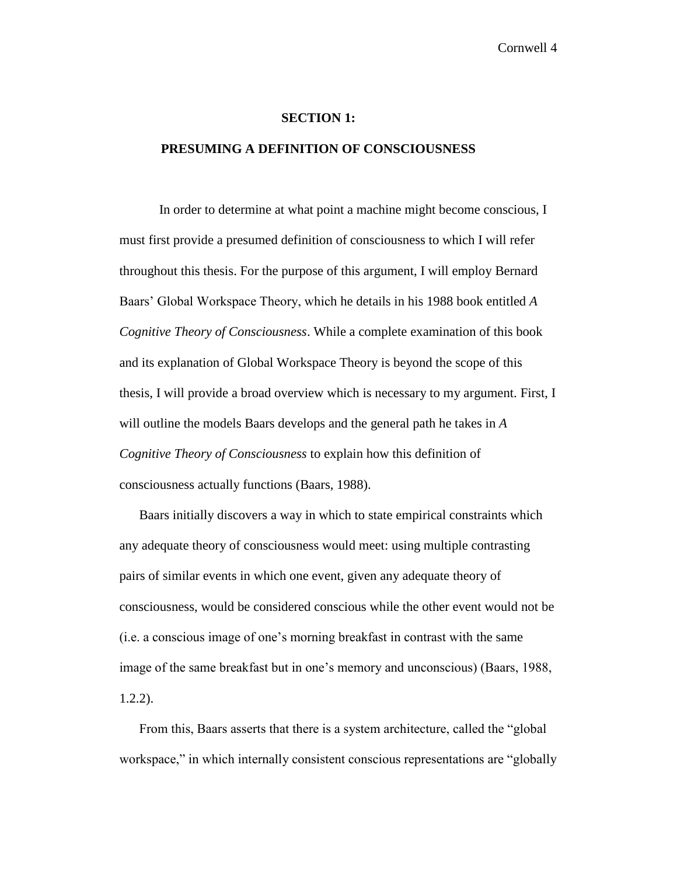#### **SECTION 1:**

#### **PRESUMING A DEFINITION OF CONSCIOUSNESS**

In order to determine at what point a machine might become conscious, I must first provide a presumed definition of consciousness to which I will refer throughout this thesis. For the purpose of this argument, I will employ Bernard Baars' Global Workspace Theory, which he details in his 1988 book entitled *A Cognitive Theory of Consciousness*. While a complete examination of this book and its explanation of Global Workspace Theory is beyond the scope of this thesis, I will provide a broad overview which is necessary to my argument. First, I will outline the models Baars develops and the general path he takes in *A Cognitive Theory of Consciousness* to explain how this definition of consciousness actually functions (Baars, 1988).

Baars initially discovers a way in which to state empirical constraints which any adequate theory of consciousness would meet: using multiple contrasting pairs of similar events in which one event, given any adequate theory of consciousness, would be considered conscious while the other event would not be (i.e. a conscious image of one's morning breakfast in contrast with the same image of the same breakfast but in one's memory and unconscious) (Baars, 1988, 1.2.2).

From this, Baars asserts that there is a system architecture, called the "global workspace," in which internally consistent conscious representations are "globally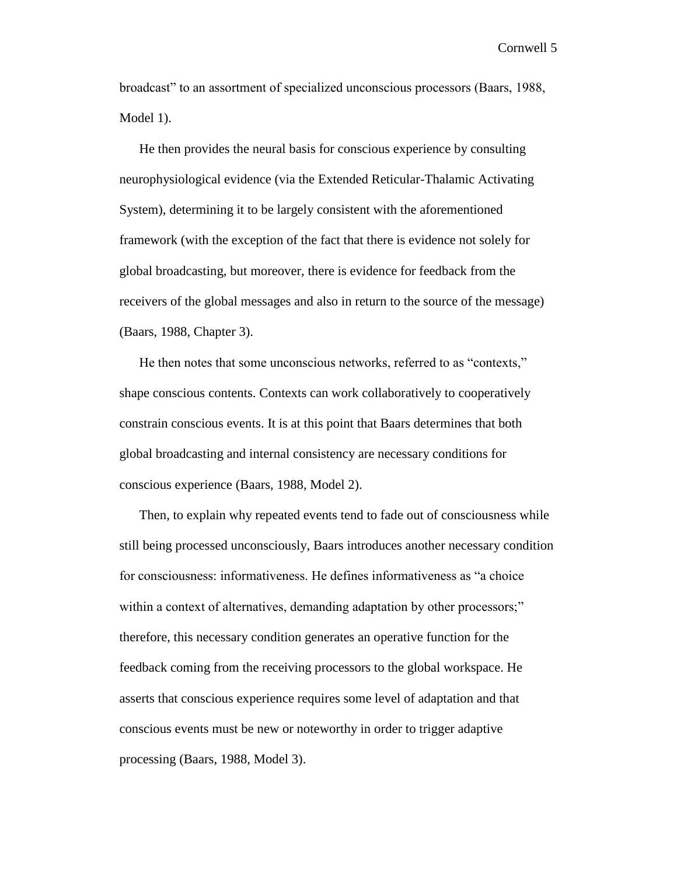broadcast" to an assortment of specialized unconscious processors (Baars, 1988, Model 1).

He then provides the neural basis for conscious experience by consulting neurophysiological evidence (via the Extended Reticular-Thalamic Activating System), determining it to be largely consistent with the aforementioned framework (with the exception of the fact that there is evidence not solely for global broadcasting, but moreover, there is evidence for feedback from the receivers of the global messages and also in return to the source of the message) (Baars, 1988, Chapter 3).

He then notes that some unconscious networks, referred to as "contexts," shape conscious contents. Contexts can work collaboratively to cooperatively constrain conscious events. It is at this point that Baars determines that both global broadcasting and internal consistency are necessary conditions for conscious experience (Baars, 1988, Model 2).

Then, to explain why repeated events tend to fade out of consciousness while still being processed unconsciously, Baars introduces another necessary condition for consciousness: informativeness. He defines informativeness as "a choice within a context of alternatives, demanding adaptation by other processors;" therefore, this necessary condition generates an operative function for the feedback coming from the receiving processors to the global workspace. He asserts that conscious experience requires some level of adaptation and that conscious events must be new or noteworthy in order to trigger adaptive processing (Baars, 1988, Model 3).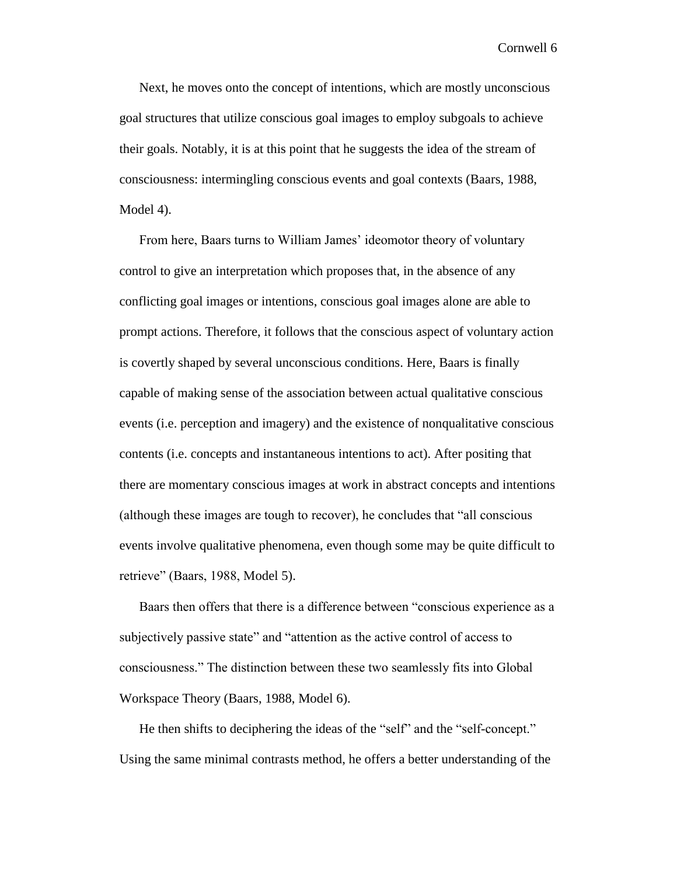Next, he moves onto the concept of intentions, which are mostly unconscious goal structures that utilize conscious goal images to employ subgoals to achieve their goals. Notably, it is at this point that he suggests the idea of the stream of consciousness: intermingling conscious events and goal contexts (Baars, 1988, Model 4).

From here, Baars turns to William James' ideomotor theory of voluntary control to give an interpretation which proposes that, in the absence of any conflicting goal images or intentions, conscious goal images alone are able to prompt actions. Therefore, it follows that the conscious aspect of voluntary action is covertly shaped by several unconscious conditions. Here, Baars is finally capable of making sense of the association between actual qualitative conscious events (i.e. perception and imagery) and the existence of nonqualitative conscious contents (i.e. concepts and instantaneous intentions to act). After positing that there are momentary conscious images at work in abstract concepts and intentions (although these images are tough to recover), he concludes that "all conscious events involve qualitative phenomena, even though some may be quite difficult to retrieve" (Baars, 1988, Model 5).

Baars then offers that there is a difference between "conscious experience as a subjectively passive state" and "attention as the active control of access to consciousness." The distinction between these two seamlessly fits into Global Workspace Theory (Baars, 1988, Model 6).

He then shifts to deciphering the ideas of the "self" and the "self-concept." Using the same minimal contrasts method, he offers a better understanding of the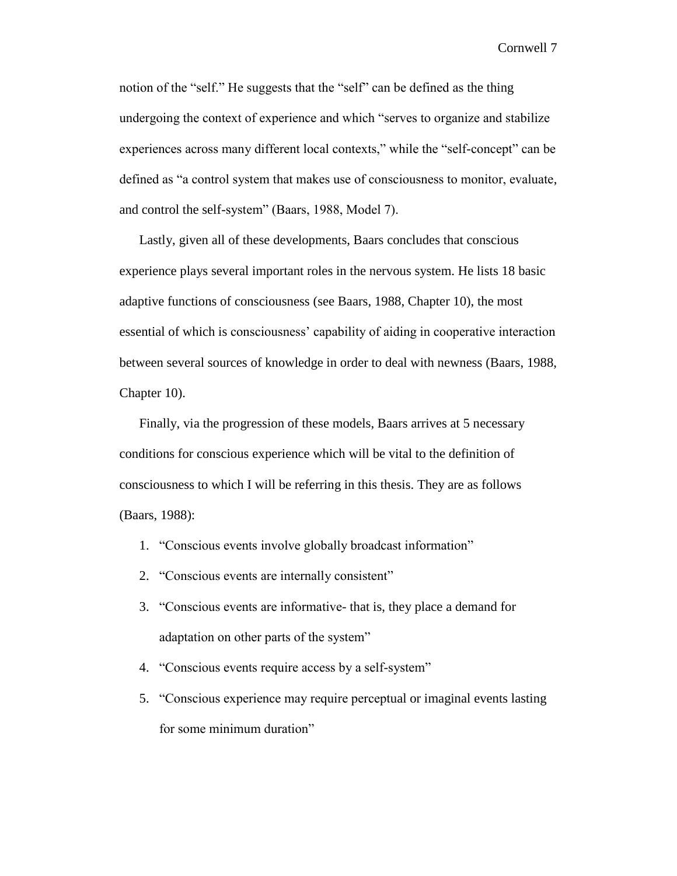notion of the "self." He suggests that the "self" can be defined as the thing undergoing the context of experience and which "serves to organize and stabilize experiences across many different local contexts," while the "self-concept" can be defined as "a control system that makes use of consciousness to monitor, evaluate, and control the self-system" (Baars, 1988, Model 7).

Lastly, given all of these developments, Baars concludes that conscious experience plays several important roles in the nervous system. He lists 18 basic adaptive functions of consciousness (see Baars, 1988, Chapter 10), the most essential of which is consciousness' capability of aiding in cooperative interaction between several sources of knowledge in order to deal with newness (Baars, 1988, Chapter 10).

Finally, via the progression of these models, Baars arrives at 5 necessary conditions for conscious experience which will be vital to the definition of consciousness to which I will be referring in this thesis. They are as follows (Baars, 1988):

- 1. "Conscious events involve globally broadcast information"
- 2. "Conscious events are internally consistent"
- 3. "Conscious events are informative- that is, they place a demand for adaptation on other parts of the system"
- 4. "Conscious events require access by a self-system"
- 5. "Conscious experience may require perceptual or imaginal events lasting for some minimum duration"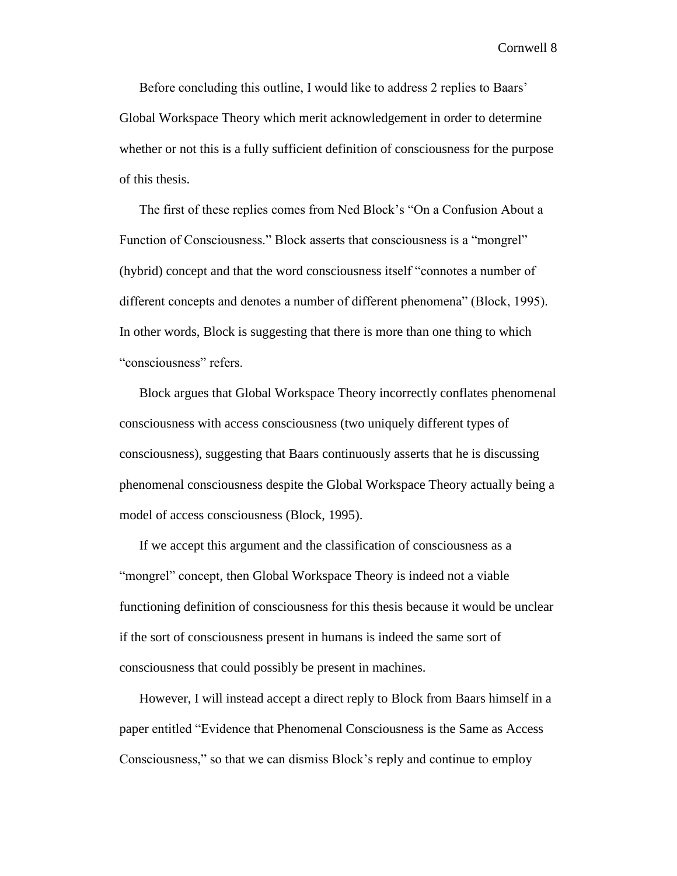Before concluding this outline, I would like to address 2 replies to Baars' Global Workspace Theory which merit acknowledgement in order to determine whether or not this is a fully sufficient definition of consciousness for the purpose of this thesis.

The first of these replies comes from Ned Block's "On a Confusion About a Function of Consciousness." Block asserts that consciousness is a "mongrel" (hybrid) concept and that the word consciousness itself "connotes a number of different concepts and denotes a number of different phenomena" (Block, 1995). In other words, Block is suggesting that there is more than one thing to which "consciousness" refers.

Block argues that Global Workspace Theory incorrectly conflates phenomenal consciousness with access consciousness (two uniquely different types of consciousness), suggesting that Baars continuously asserts that he is discussing phenomenal consciousness despite the Global Workspace Theory actually being a model of access consciousness (Block, 1995).

If we accept this argument and the classification of consciousness as a "mongrel" concept, then Global Workspace Theory is indeed not a viable functioning definition of consciousness for this thesis because it would be unclear if the sort of consciousness present in humans is indeed the same sort of consciousness that could possibly be present in machines.

However, I will instead accept a direct reply to Block from Baars himself in a paper entitled "Evidence that Phenomenal Consciousness is the Same as Access Consciousness," so that we can dismiss Block's reply and continue to employ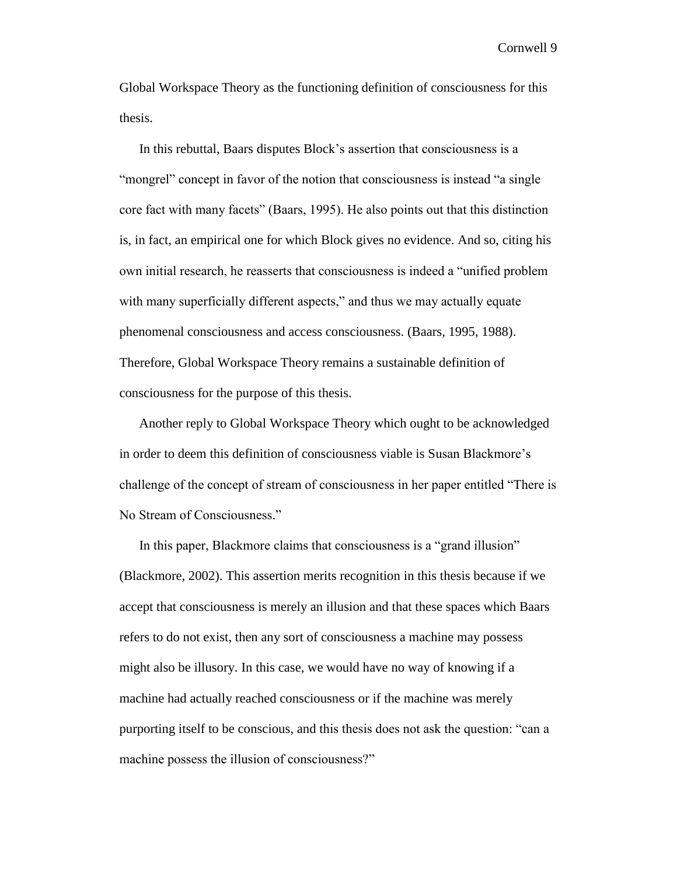Global Workspace Theory as the functioning definition of consciousness for this thesis.

In this rebuttal, Baars disputes Block's assertion that consciousness is a "mongrel" concept in favor of the notion that consciousness is instead "a single" core fact with many facets" (Baars, 1995). He also points out that this distinction is, in fact, an empirical one for which Block gives no evidence. And so, citing his own initial research, he reasserts that consciousness is indeed a "unified problem with many superficially different aspects," and thus we may actually equate phenomenal consciousness and access consciousness. (Baars, 1995, 1988). Therefore, Global Workspace Theory remains a sustainable definition of consciousness for the purpose of this thesis.

Another reply to Global Workspace Theory which ought to be acknowledged in order to deem this definition of consciousness viable is Susan Blackmore's challenge of the concept of stream of consciousness in her paper entitled "There is No Stream of Consciousness."

In this paper, Blackmore claims that consciousness is a "grand illusion" (Blackmore, 2002). This assertion merits recognition in this thesis because if we accept that consciousness is merely an illusion and that these spaces which Baars refers to do not exist, then any sort of consciousness a machine may possess might also be illusory. In this case, we would have no way of knowing if a machine had actually reached consciousness or if the machine was merely purporting itself to be conscious, and this thesis does not ask the question: "can a machine possess the illusion of consciousness?"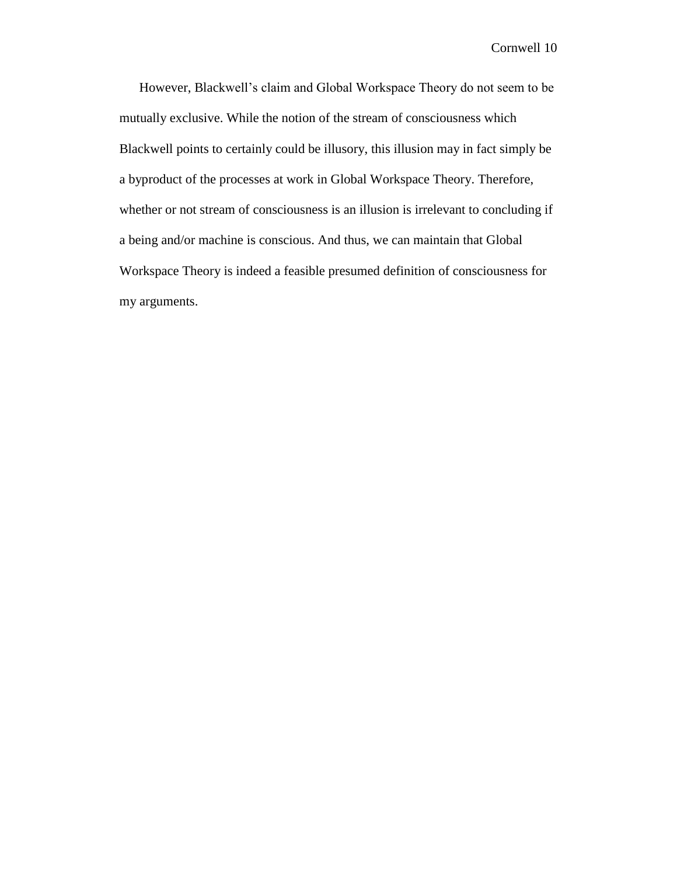However, Blackwell's claim and Global Workspace Theory do not seem to be mutually exclusive. While the notion of the stream of consciousness which Blackwell points to certainly could be illusory, this illusion may in fact simply be a byproduct of the processes at work in Global Workspace Theory. Therefore, whether or not stream of consciousness is an illusion is irrelevant to concluding if a being and/or machine is conscious. And thus, we can maintain that Global Workspace Theory is indeed a feasible presumed definition of consciousness for my arguments.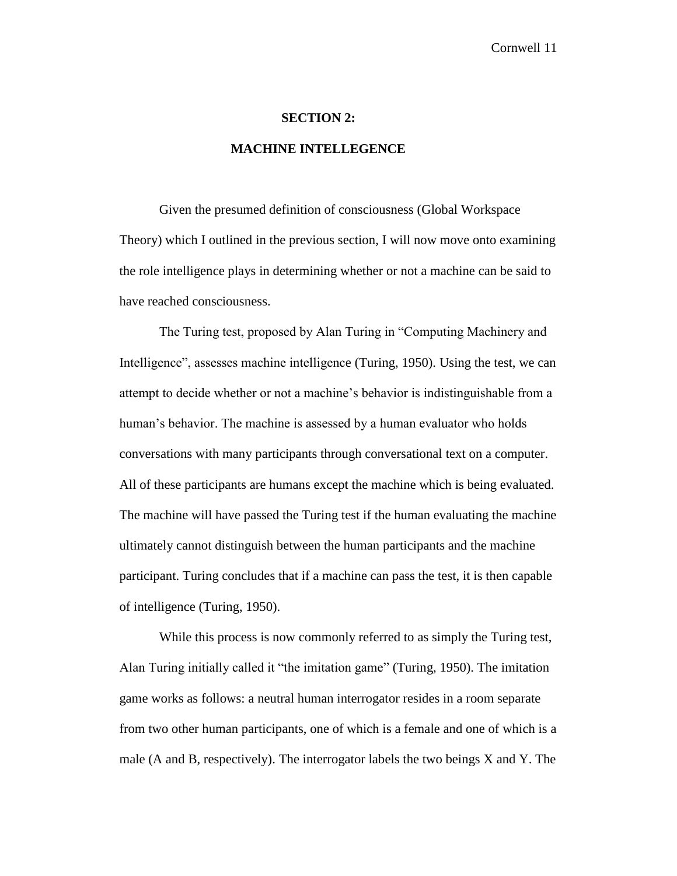#### **SECTION 2:**

#### **MACHINE INTELLEGENCE**

Given the presumed definition of consciousness (Global Workspace Theory) which I outlined in the previous section, I will now move onto examining the role intelligence plays in determining whether or not a machine can be said to have reached consciousness.

The Turing test, proposed by Alan Turing in "Computing Machinery and Intelligence", assesses machine intelligence (Turing, 1950). Using the test, we can attempt to decide whether or not a machine's behavior is indistinguishable from a human's behavior. The machine is assessed by a human evaluator who holds conversations with many participants through conversational text on a computer. All of these participants are humans except the machine which is being evaluated. The machine will have passed the Turing test if the human evaluating the machine ultimately cannot distinguish between the human participants and the machine participant. Turing concludes that if a machine can pass the test, it is then capable of intelligence (Turing, 1950).

While this process is now commonly referred to as simply the Turing test, Alan Turing initially called it "the imitation game" (Turing, 1950). The imitation game works as follows: a neutral human interrogator resides in a room separate from two other human participants, one of which is a female and one of which is a male (A and B, respectively). The interrogator labels the two beings X and Y. The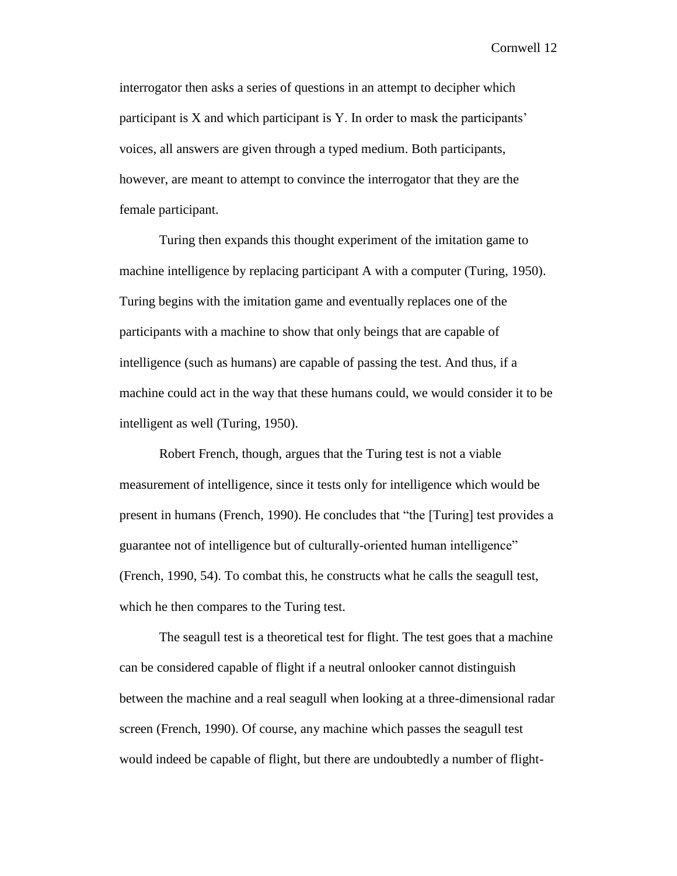interrogator then asks a series of questions in an attempt to decipher which participant is X and which participant is Y. In order to mask the participants' voices, all answers are given through a typed medium. Both participants, however, are meant to attempt to convince the interrogator that they are the female participant.

Turing then expands this thought experiment of the imitation game to machine intelligence by replacing participant A with a computer (Turing, 1950). Turing begins with the imitation game and eventually replaces one of the participants with a machine to show that only beings that are capable of intelligence (such as humans) are capable of passing the test. And thus, if a machine could act in the way that these humans could, we would consider it to be intelligent as well (Turing, 1950).

Robert French, though, argues that the Turing test is not a viable measurement of intelligence, since it tests only for intelligence which would be present in humans (French, 1990). He concludes that "the [Turing] test provides a guarantee not of intelligence but of culturally-oriented human intelligence" (French, 1990, 54). To combat this, he constructs what he calls the seagull test, which he then compares to the Turing test.

The seagull test is a theoretical test for flight. The test goes that a machine can be considered capable of flight if a neutral onlooker cannot distinguish between the machine and a real seagull when looking at a three-dimensional radar screen (French, 1990). Of course, any machine which passes the seagull test would indeed be capable of flight, but there are undoubtedly a number of flight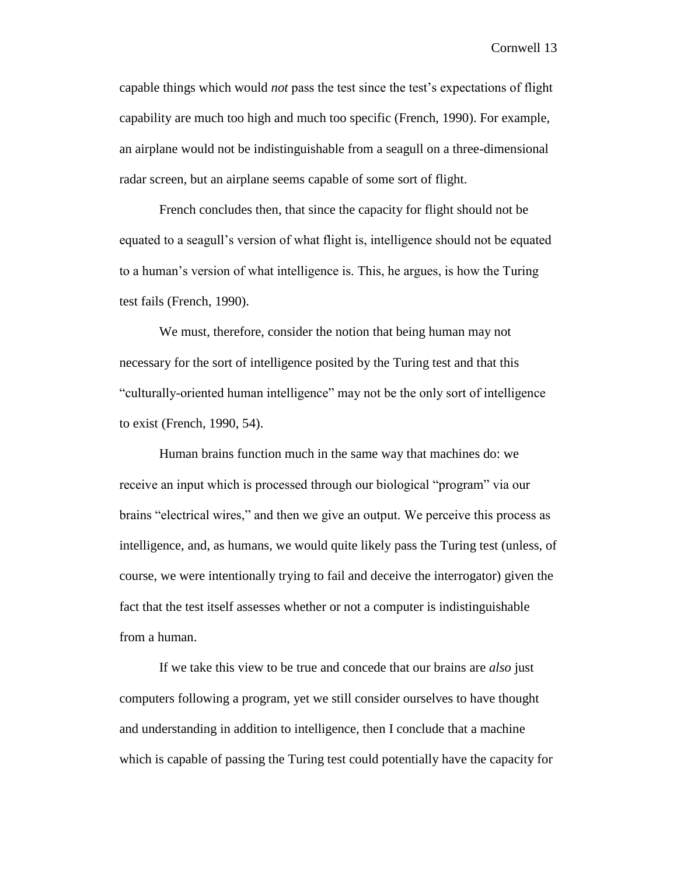capable things which would *not* pass the test since the test's expectations of flight capability are much too high and much too specific (French, 1990). For example, an airplane would not be indistinguishable from a seagull on a three-dimensional radar screen, but an airplane seems capable of some sort of flight.

French concludes then, that since the capacity for flight should not be equated to a seagull's version of what flight is, intelligence should not be equated to a human's version of what intelligence is. This, he argues, is how the Turing test fails (French, 1990).

We must, therefore, consider the notion that being human may not necessary for the sort of intelligence posited by the Turing test and that this "culturally-oriented human intelligence" may not be the only sort of intelligence to exist (French, 1990, 54).

Human brains function much in the same way that machines do: we receive an input which is processed through our biological "program" via our brains "electrical wires," and then we give an output. We perceive this process as intelligence, and, as humans, we would quite likely pass the Turing test (unless, of course, we were intentionally trying to fail and deceive the interrogator) given the fact that the test itself assesses whether or not a computer is indistinguishable from a human.

If we take this view to be true and concede that our brains are *also* just computers following a program, yet we still consider ourselves to have thought and understanding in addition to intelligence, then I conclude that a machine which is capable of passing the Turing test could potentially have the capacity for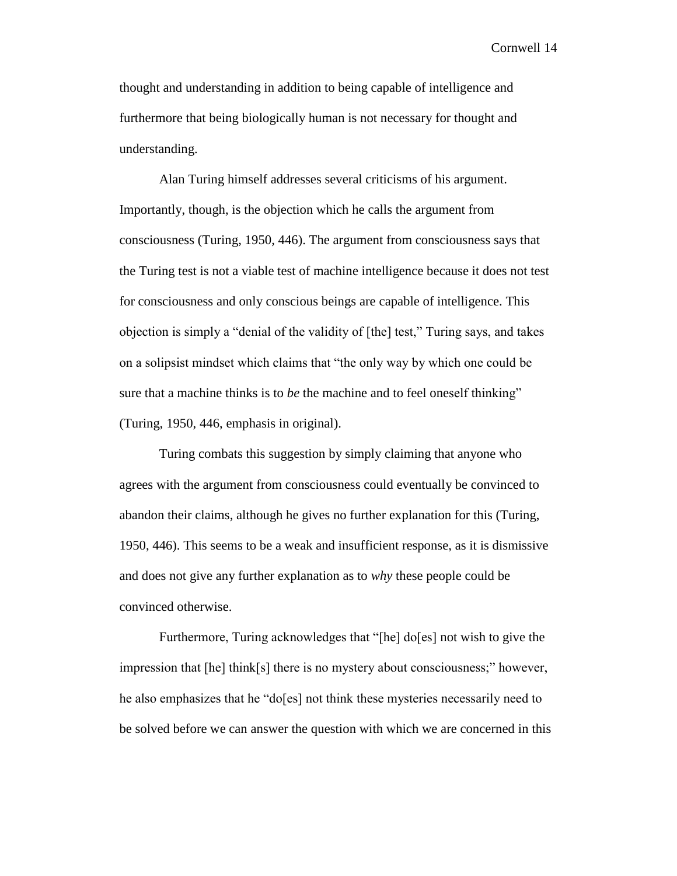thought and understanding in addition to being capable of intelligence and furthermore that being biologically human is not necessary for thought and understanding.

Alan Turing himself addresses several criticisms of his argument. Importantly, though, is the objection which he calls the argument from consciousness (Turing, 1950, 446). The argument from consciousness says that the Turing test is not a viable test of machine intelligence because it does not test for consciousness and only conscious beings are capable of intelligence. This objection is simply a "denial of the validity of [the] test," Turing says, and takes on a solipsist mindset which claims that "the only way by which one could be sure that a machine thinks is to *be* the machine and to feel oneself thinking" (Turing, 1950, 446, emphasis in original).

Turing combats this suggestion by simply claiming that anyone who agrees with the argument from consciousness could eventually be convinced to abandon their claims, although he gives no further explanation for this (Turing, 1950, 446). This seems to be a weak and insufficient response, as it is dismissive and does not give any further explanation as to *why* these people could be convinced otherwise.

Furthermore, Turing acknowledges that "[he] do[es] not wish to give the impression that [he] think[s] there is no mystery about consciousness;" however, he also emphasizes that he "do[es] not think these mysteries necessarily need to be solved before we can answer the question with which we are concerned in this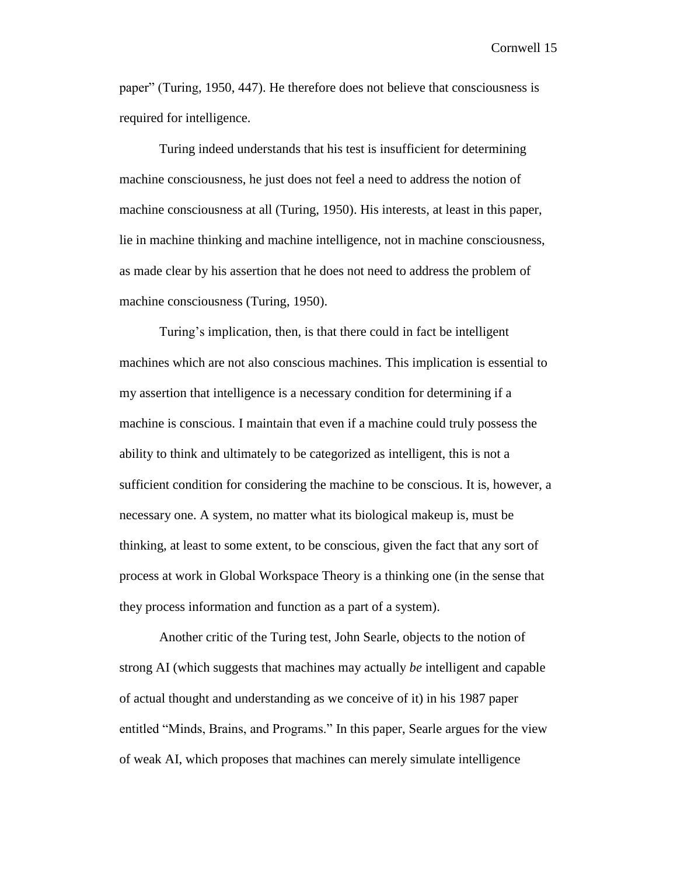paper" (Turing, 1950, 447). He therefore does not believe that consciousness is required for intelligence.

Turing indeed understands that his test is insufficient for determining machine consciousness, he just does not feel a need to address the notion of machine consciousness at all (Turing, 1950). His interests, at least in this paper, lie in machine thinking and machine intelligence, not in machine consciousness, as made clear by his assertion that he does not need to address the problem of machine consciousness (Turing, 1950).

Turing's implication, then, is that there could in fact be intelligent machines which are not also conscious machines. This implication is essential to my assertion that intelligence is a necessary condition for determining if a machine is conscious. I maintain that even if a machine could truly possess the ability to think and ultimately to be categorized as intelligent, this is not a sufficient condition for considering the machine to be conscious. It is, however, a necessary one. A system, no matter what its biological makeup is, must be thinking, at least to some extent, to be conscious, given the fact that any sort of process at work in Global Workspace Theory is a thinking one (in the sense that they process information and function as a part of a system).

Another critic of the Turing test, John Searle, objects to the notion of strong AI (which suggests that machines may actually *be* intelligent and capable of actual thought and understanding as we conceive of it) in his 1987 paper entitled "Minds, Brains, and Programs." In this paper, Searle argues for the view of weak AI, which proposes that machines can merely simulate intelligence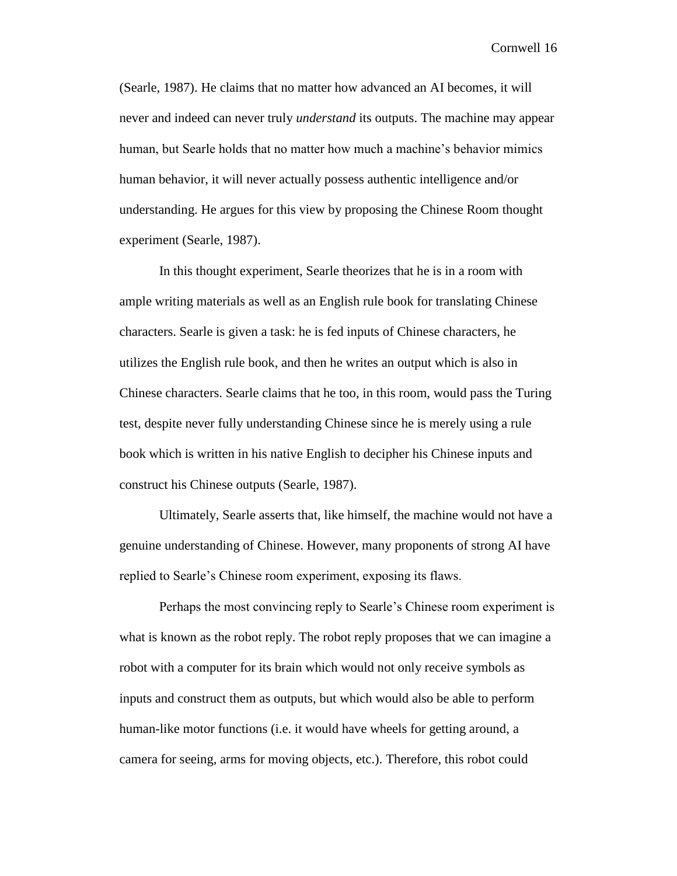(Searle, 1987). He claims that no matter how advanced an AI becomes, it will never and indeed can never truly *understand* its outputs. The machine may appear human, but Searle holds that no matter how much a machine's behavior mimics human behavior, it will never actually possess authentic intelligence and/or understanding. He argues for this view by proposing the Chinese Room thought experiment (Searle, 1987).

In this thought experiment, Searle theorizes that he is in a room with ample writing materials as well as an English rule book for translating Chinese characters. Searle is given a task: he is fed inputs of Chinese characters, he utilizes the English rule book, and then he writes an output which is also in Chinese characters. Searle claims that he too, in this room, would pass the Turing test, despite never fully understanding Chinese since he is merely using a rule book which is written in his native English to decipher his Chinese inputs and construct his Chinese outputs (Searle, 1987).

Ultimately, Searle asserts that, like himself, the machine would not have a genuine understanding of Chinese. However, many proponents of strong AI have replied to Searle's Chinese room experiment, exposing its flaws.

Perhaps the most convincing reply to Searle's Chinese room experiment is what is known as the robot reply. The robot reply proposes that we can imagine a robot with a computer for its brain which would not only receive symbols as inputs and construct them as outputs, but which would also be able to perform human-like motor functions (i.e. it would have wheels for getting around, a camera for seeing, arms for moving objects, etc.). Therefore, this robot could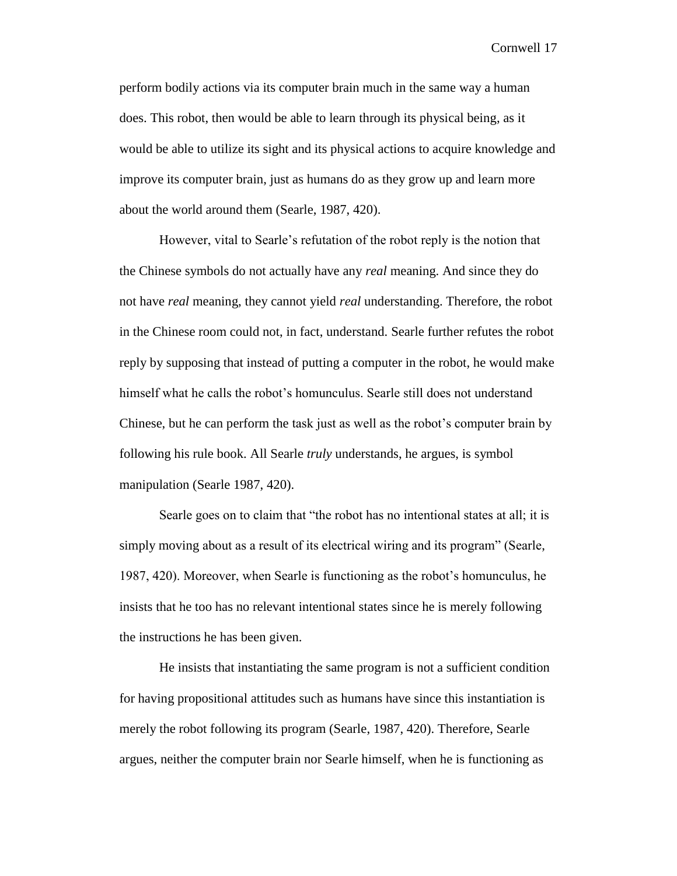perform bodily actions via its computer brain much in the same way a human does. This robot, then would be able to learn through its physical being, as it would be able to utilize its sight and its physical actions to acquire knowledge and improve its computer brain, just as humans do as they grow up and learn more about the world around them (Searle, 1987, 420).

However, vital to Searle's refutation of the robot reply is the notion that the Chinese symbols do not actually have any *real* meaning. And since they do not have *real* meaning, they cannot yield *real* understanding. Therefore, the robot in the Chinese room could not, in fact, understand. Searle further refutes the robot reply by supposing that instead of putting a computer in the robot, he would make himself what he calls the robot's homunculus. Searle still does not understand Chinese, but he can perform the task just as well as the robot's computer brain by following his rule book. All Searle *truly* understands, he argues, is symbol manipulation (Searle 1987, 420).

Searle goes on to claim that "the robot has no intentional states at all; it is simply moving about as a result of its electrical wiring and its program" (Searle, 1987, 420). Moreover, when Searle is functioning as the robot's homunculus, he insists that he too has no relevant intentional states since he is merely following the instructions he has been given.

He insists that instantiating the same program is not a sufficient condition for having propositional attitudes such as humans have since this instantiation is merely the robot following its program (Searle, 1987, 420). Therefore, Searle argues, neither the computer brain nor Searle himself, when he is functioning as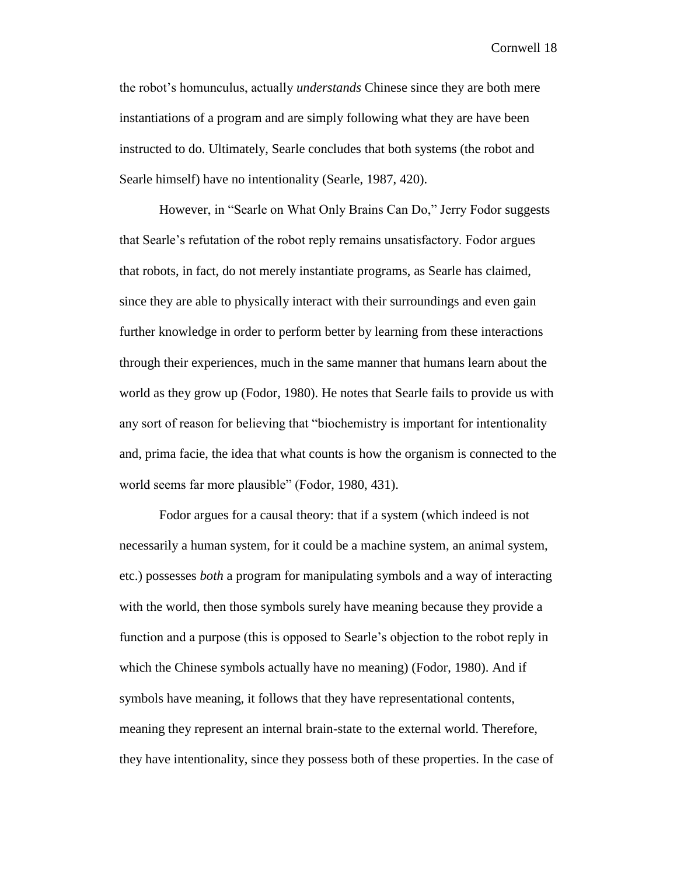the robot's homunculus, actually *understands* Chinese since they are both mere instantiations of a program and are simply following what they are have been instructed to do. Ultimately, Searle concludes that both systems (the robot and Searle himself) have no intentionality (Searle, 1987, 420).

However, in "Searle on What Only Brains Can Do," Jerry Fodor suggests that Searle's refutation of the robot reply remains unsatisfactory. Fodor argues that robots, in fact, do not merely instantiate programs, as Searle has claimed, since they are able to physically interact with their surroundings and even gain further knowledge in order to perform better by learning from these interactions through their experiences, much in the same manner that humans learn about the world as they grow up (Fodor, 1980). He notes that Searle fails to provide us with any sort of reason for believing that "biochemistry is important for intentionality and, prima facie, the idea that what counts is how the organism is connected to the world seems far more plausible" (Fodor, 1980, 431).

Fodor argues for a causal theory: that if a system (which indeed is not necessarily a human system, for it could be a machine system, an animal system, etc.) possesses *both* a program for manipulating symbols and a way of interacting with the world, then those symbols surely have meaning because they provide a function and a purpose (this is opposed to Searle's objection to the robot reply in which the Chinese symbols actually have no meaning) (Fodor, 1980). And if symbols have meaning, it follows that they have representational contents, meaning they represent an internal brain-state to the external world. Therefore, they have intentionality, since they possess both of these properties. In the case of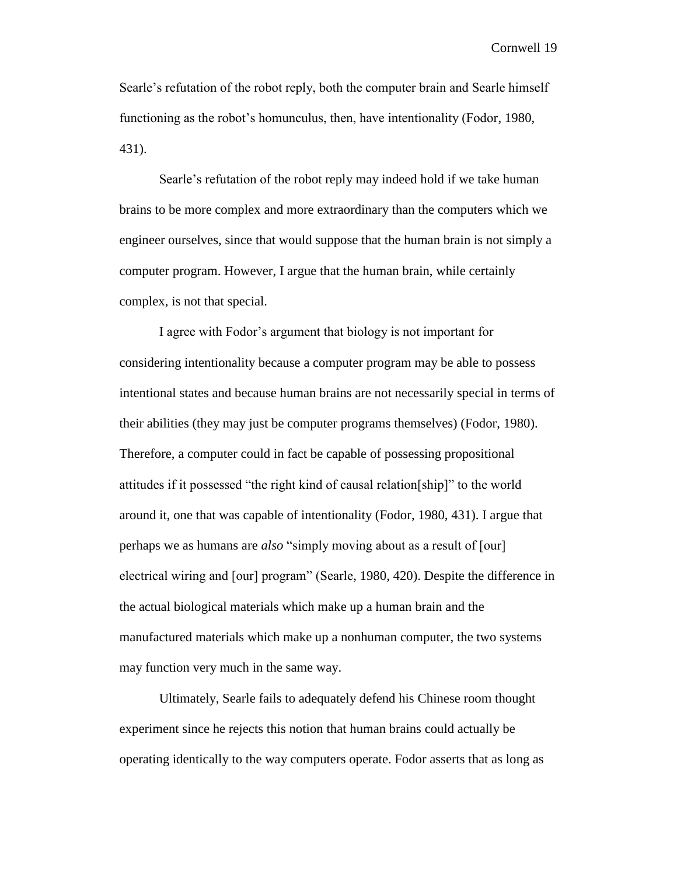Searle's refutation of the robot reply, both the computer brain and Searle himself functioning as the robot's homunculus, then, have intentionality (Fodor, 1980, 431).

Searle's refutation of the robot reply may indeed hold if we take human brains to be more complex and more extraordinary than the computers which we engineer ourselves, since that would suppose that the human brain is not simply a computer program. However, I argue that the human brain, while certainly complex, is not that special.

I agree with Fodor's argument that biology is not important for considering intentionality because a computer program may be able to possess intentional states and because human brains are not necessarily special in terms of their abilities (they may just be computer programs themselves) (Fodor, 1980). Therefore, a computer could in fact be capable of possessing propositional attitudes if it possessed "the right kind of causal relation[ship]" to the world around it, one that was capable of intentionality (Fodor, 1980, 431). I argue that perhaps we as humans are *also* "simply moving about as a result of [our] electrical wiring and [our] program" (Searle, 1980, 420). Despite the difference in the actual biological materials which make up a human brain and the manufactured materials which make up a nonhuman computer, the two systems may function very much in the same way.

Ultimately, Searle fails to adequately defend his Chinese room thought experiment since he rejects this notion that human brains could actually be operating identically to the way computers operate. Fodor asserts that as long as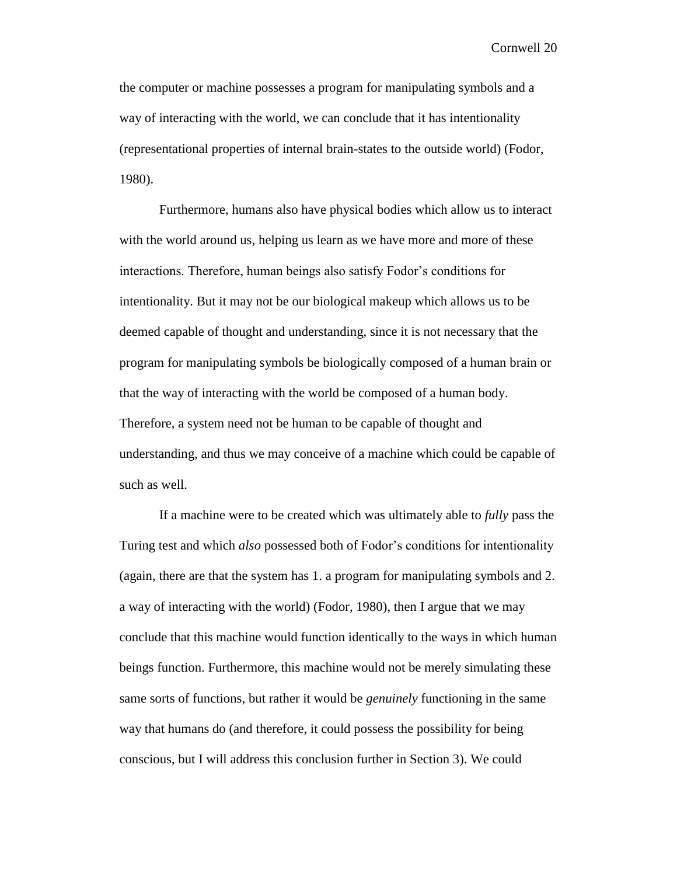the computer or machine possesses a program for manipulating symbols and a way of interacting with the world, we can conclude that it has intentionality (representational properties of internal brain-states to the outside world) (Fodor, 1980).

Furthermore, humans also have physical bodies which allow us to interact with the world around us, helping us learn as we have more and more of these interactions. Therefore, human beings also satisfy Fodor's conditions for intentionality. But it may not be our biological makeup which allows us to be deemed capable of thought and understanding, since it is not necessary that the program for manipulating symbols be biologically composed of a human brain or that the way of interacting with the world be composed of a human body. Therefore, a system need not be human to be capable of thought and understanding, and thus we may conceive of a machine which could be capable of such as well.

If a machine were to be created which was ultimately able to *fully* pass the Turing test and which *also* possessed both of Fodor's conditions for intentionality (again, there are that the system has 1. a program for manipulating symbols and 2. a way of interacting with the world) (Fodor, 1980), then I argue that we may conclude that this machine would function identically to the ways in which human beings function. Furthermore, this machine would not be merely simulating these same sorts of functions, but rather it would be *genuinely* functioning in the same way that humans do (and therefore, it could possess the possibility for being conscious, but I will address this conclusion further in Section 3). We could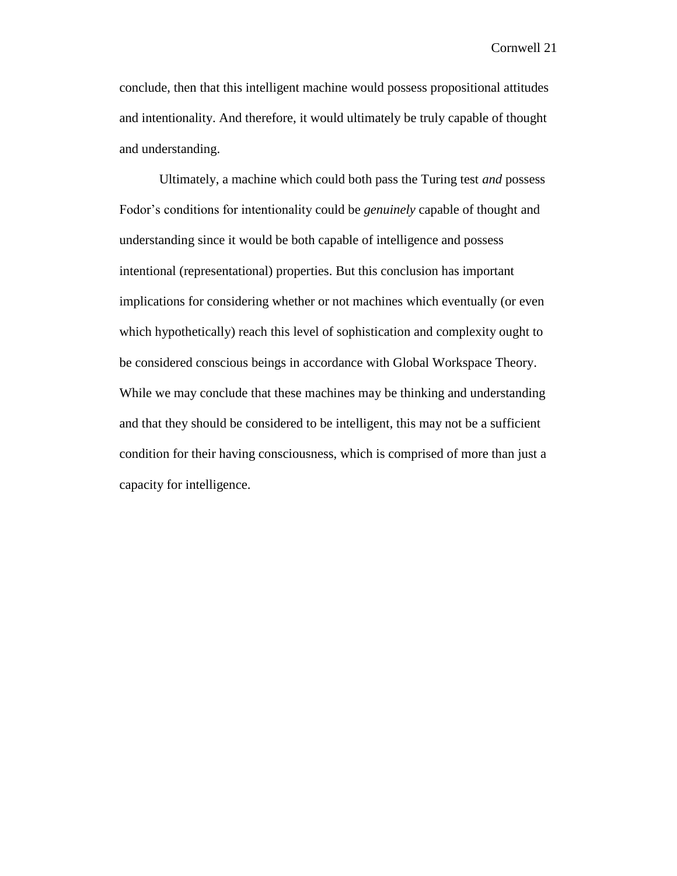conclude, then that this intelligent machine would possess propositional attitudes and intentionality. And therefore, it would ultimately be truly capable of thought and understanding.

Ultimately, a machine which could both pass the Turing test *and* possess Fodor's conditions for intentionality could be *genuinely* capable of thought and understanding since it would be both capable of intelligence and possess intentional (representational) properties. But this conclusion has important implications for considering whether or not machines which eventually (or even which hypothetically) reach this level of sophistication and complexity ought to be considered conscious beings in accordance with Global Workspace Theory. While we may conclude that these machines may be thinking and understanding and that they should be considered to be intelligent, this may not be a sufficient condition for their having consciousness, which is comprised of more than just a capacity for intelligence.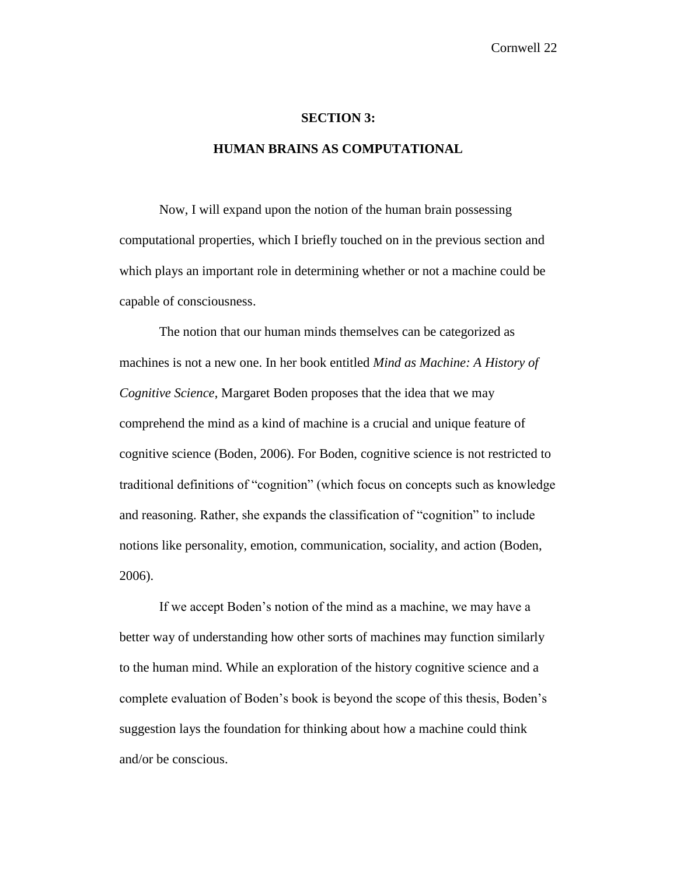#### **SECTION 3:**

#### **HUMAN BRAINS AS COMPUTATIONAL**

Now, I will expand upon the notion of the human brain possessing computational properties, which I briefly touched on in the previous section and which plays an important role in determining whether or not a machine could be capable of consciousness.

The notion that our human minds themselves can be categorized as machines is not a new one. In her book entitled *Mind as Machine: A History of Cognitive Science*, Margaret Boden proposes that the idea that we may comprehend the mind as a kind of machine is a crucial and unique feature of cognitive science (Boden, 2006). For Boden, cognitive science is not restricted to traditional definitions of "cognition" (which focus on concepts such as knowledge and reasoning. Rather, she expands the classification of "cognition" to include notions like personality, emotion, communication, sociality, and action (Boden, 2006).

If we accept Boden's notion of the mind as a machine, we may have a better way of understanding how other sorts of machines may function similarly to the human mind. While an exploration of the history cognitive science and a complete evaluation of Boden's book is beyond the scope of this thesis, Boden's suggestion lays the foundation for thinking about how a machine could think and/or be conscious.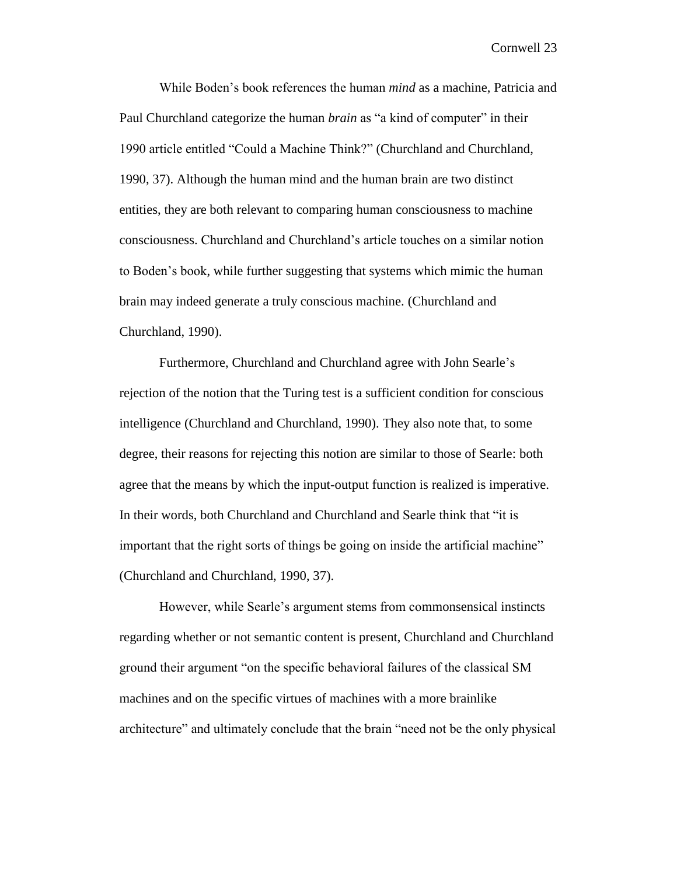While Boden's book references the human *mind* as a machine, Patricia and Paul Churchland categorize the human *brain* as "a kind of computer" in their 1990 article entitled "Could a Machine Think?" (Churchland and Churchland, 1990, 37). Although the human mind and the human brain are two distinct entities, they are both relevant to comparing human consciousness to machine consciousness. Churchland and Churchland's article touches on a similar notion to Boden's book, while further suggesting that systems which mimic the human brain may indeed generate a truly conscious machine. (Churchland and Churchland, 1990).

Furthermore, Churchland and Churchland agree with John Searle's rejection of the notion that the Turing test is a sufficient condition for conscious intelligence (Churchland and Churchland, 1990). They also note that, to some degree, their reasons for rejecting this notion are similar to those of Searle: both agree that the means by which the input-output function is realized is imperative. In their words, both Churchland and Churchland and Searle think that "it is important that the right sorts of things be going on inside the artificial machine" (Churchland and Churchland, 1990, 37).

However, while Searle's argument stems from commonsensical instincts regarding whether or not semantic content is present, Churchland and Churchland ground their argument "on the specific behavioral failures of the classical SM machines and on the specific virtues of machines with a more brainlike architecture" and ultimately conclude that the brain "need not be the only physical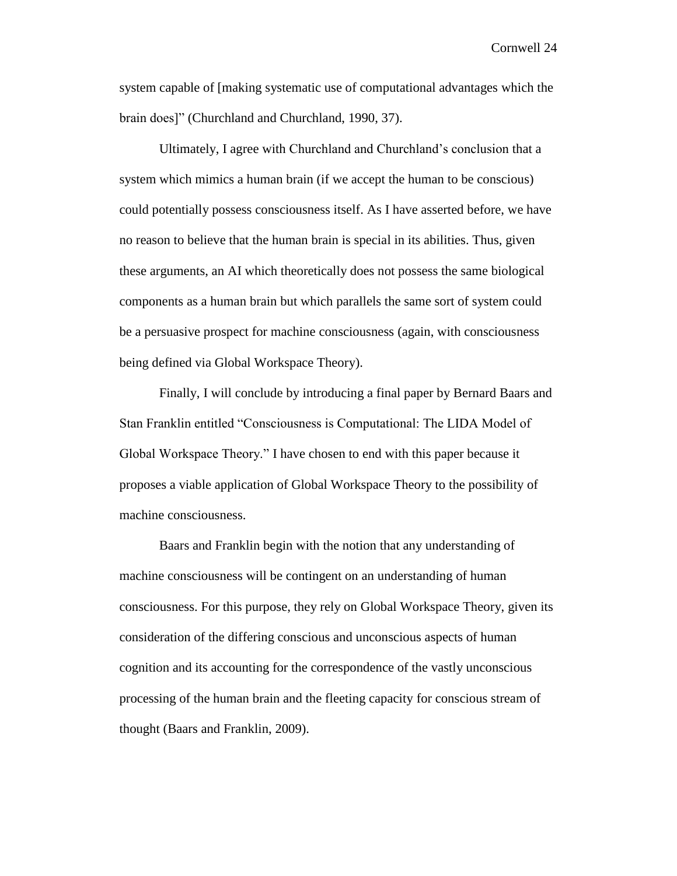system capable of [making systematic use of computational advantages which the brain does]" (Churchland and Churchland, 1990, 37).

Ultimately, I agree with Churchland and Churchland's conclusion that a system which mimics a human brain (if we accept the human to be conscious) could potentially possess consciousness itself. As I have asserted before, we have no reason to believe that the human brain is special in its abilities. Thus, given these arguments, an AI which theoretically does not possess the same biological components as a human brain but which parallels the same sort of system could be a persuasive prospect for machine consciousness (again, with consciousness being defined via Global Workspace Theory).

Finally, I will conclude by introducing a final paper by Bernard Baars and Stan Franklin entitled "Consciousness is Computational: The LIDA Model of Global Workspace Theory." I have chosen to end with this paper because it proposes a viable application of Global Workspace Theory to the possibility of machine consciousness.

Baars and Franklin begin with the notion that any understanding of machine consciousness will be contingent on an understanding of human consciousness. For this purpose, they rely on Global Workspace Theory, given its consideration of the differing conscious and unconscious aspects of human cognition and its accounting for the correspondence of the vastly unconscious processing of the human brain and the fleeting capacity for conscious stream of thought (Baars and Franklin, 2009).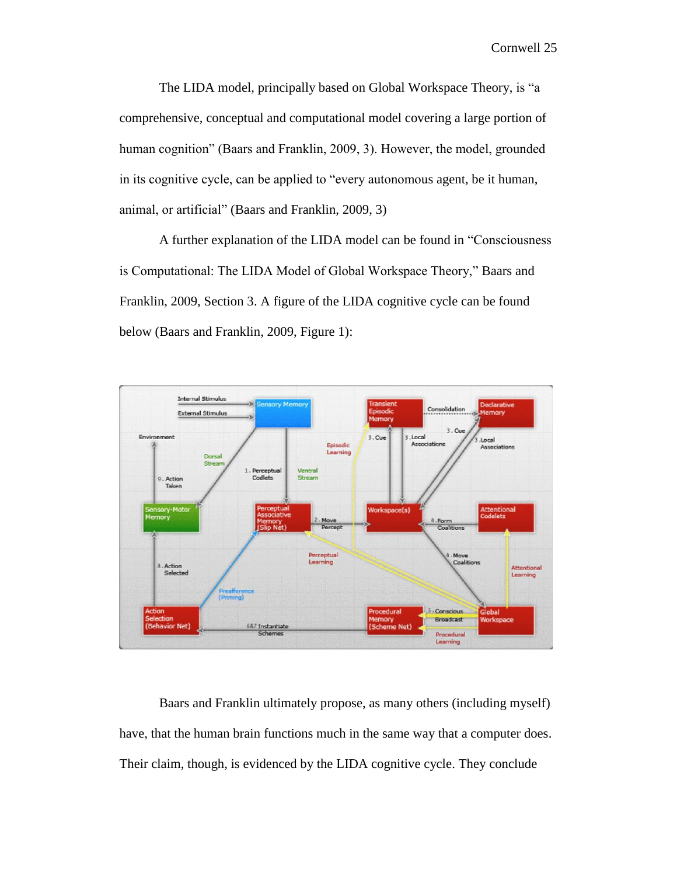The LIDA model, principally based on Global Workspace Theory, is "a comprehensive, conceptual and computational model covering a large portion of human cognition" (Baars and Franklin, 2009, 3). However, the model, grounded in its cognitive cycle, can be applied to "every autonomous agent, be it human, animal, or artificial" (Baars and Franklin, 2009, 3)

A further explanation of the LIDA model can be found in "Consciousness is Computational: The LIDA Model of Global Workspace Theory," Baars and Franklin, 2009, Section 3. A figure of the LIDA cognitive cycle can be found below (Baars and Franklin, 2009, Figure 1):



Baars and Franklin ultimately propose, as many others (including myself) have, that the human brain functions much in the same way that a computer does. Their claim, though, is evidenced by the LIDA cognitive cycle. They conclude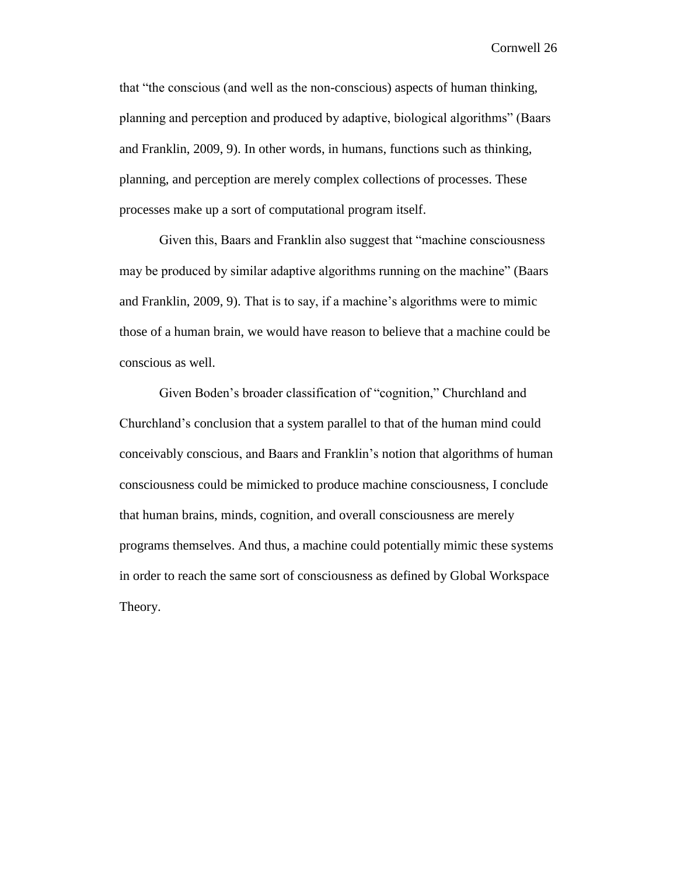that "the conscious (and well as the non-conscious) aspects of human thinking, planning and perception and produced by adaptive, biological algorithms" (Baars and Franklin, 2009, 9). In other words, in humans, functions such as thinking, planning, and perception are merely complex collections of processes. These processes make up a sort of computational program itself.

Given this, Baars and Franklin also suggest that "machine consciousness may be produced by similar adaptive algorithms running on the machine" (Baars and Franklin, 2009, 9). That is to say, if a machine's algorithms were to mimic those of a human brain, we would have reason to believe that a machine could be conscious as well.

Given Boden's broader classification of "cognition," Churchland and Churchland's conclusion that a system parallel to that of the human mind could conceivably conscious, and Baars and Franklin's notion that algorithms of human consciousness could be mimicked to produce machine consciousness, I conclude that human brains, minds, cognition, and overall consciousness are merely programs themselves. And thus, a machine could potentially mimic these systems in order to reach the same sort of consciousness as defined by Global Workspace Theory.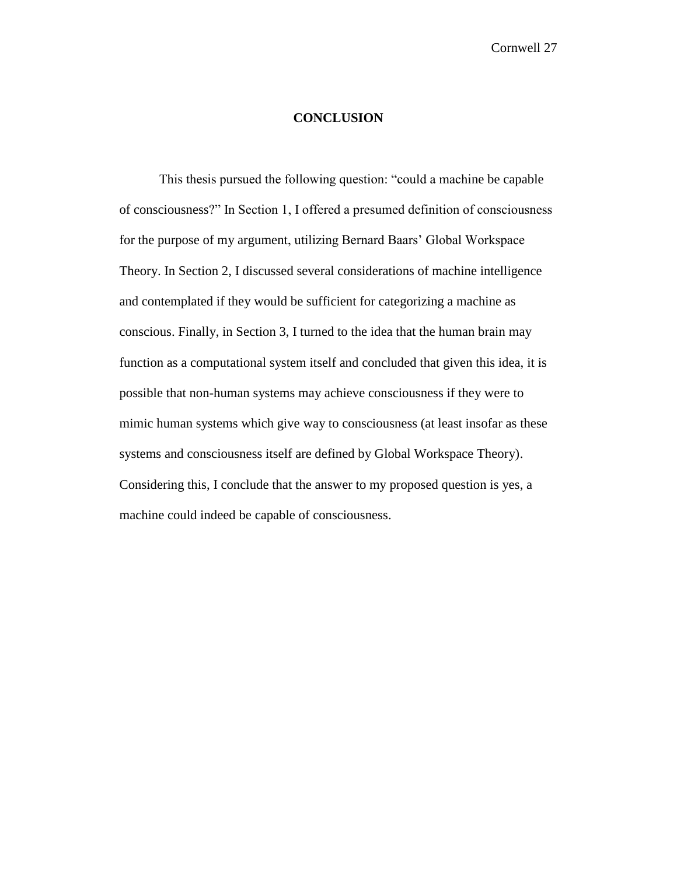#### **CONCLUSION**

This thesis pursued the following question: "could a machine be capable of consciousness?" In Section 1, I offered a presumed definition of consciousness for the purpose of my argument, utilizing Bernard Baars' Global Workspace Theory. In Section 2, I discussed several considerations of machine intelligence and contemplated if they would be sufficient for categorizing a machine as conscious. Finally, in Section 3, I turned to the idea that the human brain may function as a computational system itself and concluded that given this idea, it is possible that non-human systems may achieve consciousness if they were to mimic human systems which give way to consciousness (at least insofar as these systems and consciousness itself are defined by Global Workspace Theory). Considering this, I conclude that the answer to my proposed question is yes, a machine could indeed be capable of consciousness.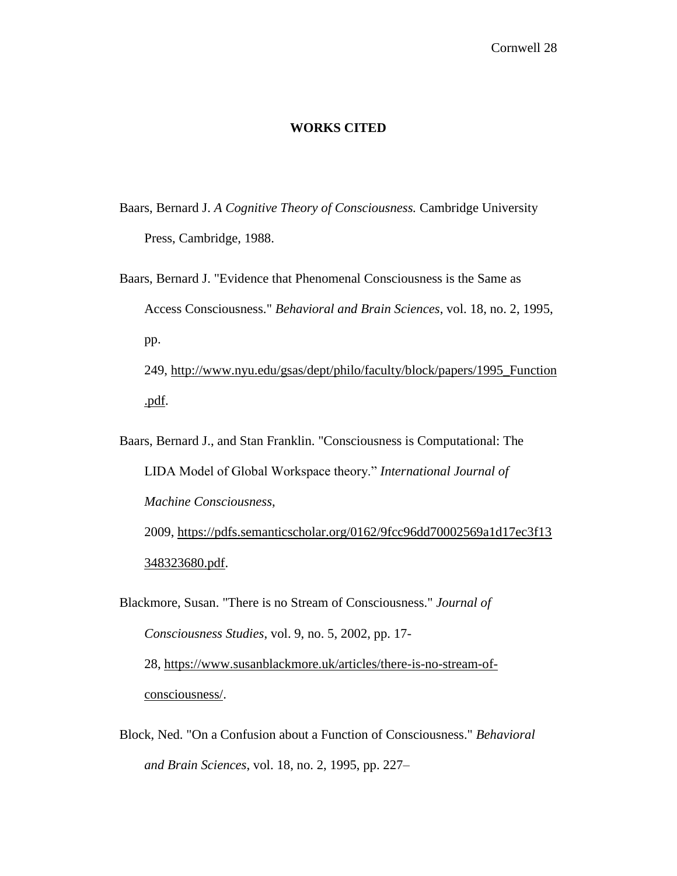#### **WORKS CITED**

- Baars, Bernard J. *A Cognitive Theory of Consciousness.* Cambridge University Press, Cambridge, 1988.
- Baars, Bernard J. "Evidence that Phenomenal Consciousness is the Same as Access Consciousness." *Behavioral and Brain Sciences*, vol. 18, no. 2, 1995, pp. 249, [http://www.nyu.edu/gsas/dept/philo/faculty/block/papers/1995\\_Function](http://www.nyu.edu/gsas/dept/philo/faculty/block/papers/1995_Function.pdf) [.pdf.](http://www.nyu.edu/gsas/dept/philo/faculty/block/papers/1995_Function.pdf)
- Baars, Bernard J., and Stan Franklin. "Consciousness is Computational: The LIDA Model of Global Workspace theory." *International Journal of Machine Consciousness*, 2009, [https://pdfs.semanticscholar.org/0162/9fcc96dd70002569a1d17ec3f13](https://pdfs.semanticscholar.org/0162/9fcc96dd70002569a1d17ec3f13348323680.pdf) [348323680.pdf.](https://pdfs.semanticscholar.org/0162/9fcc96dd70002569a1d17ec3f13348323680.pdf)
- Blackmore, Susan. "There is no Stream of Consciousness." *Journal of Consciousness Studies*, vol. 9, no. 5, 2002, pp. 17- 28, [https://www.susanblackmore.uk/articles/there-is-no-stream-of](https://www.susanblackmore.uk/articles/there-is-no-stream-of-consciousness/)[consciousness/.](https://www.susanblackmore.uk/articles/there-is-no-stream-of-consciousness/)
- Block, Ned. "On a Confusion about a Function of Consciousness." *Behavioral and Brain Sciences*, vol. 18, no. 2, 1995, pp. 227–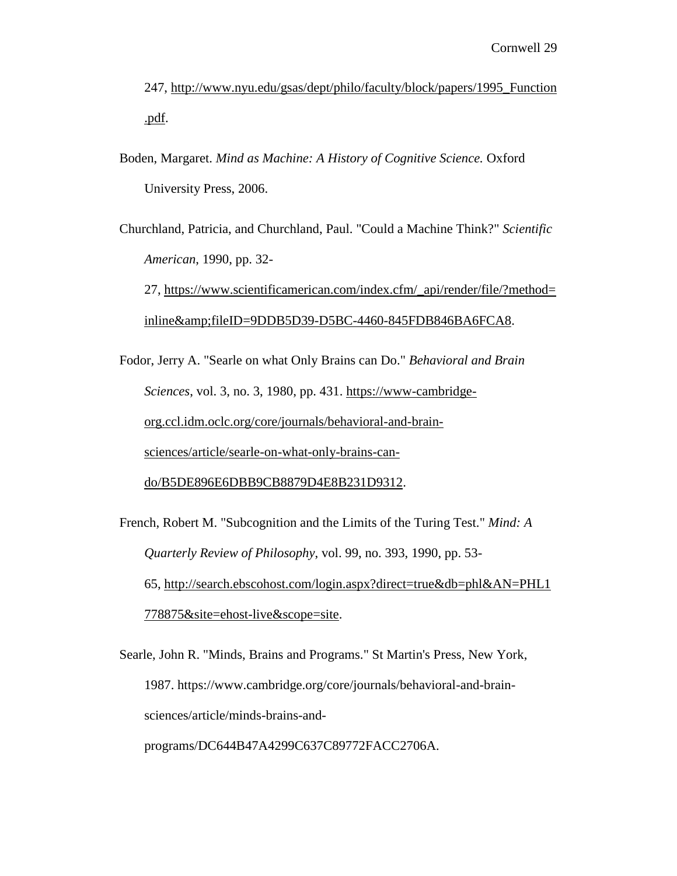247, [http://www.nyu.edu/gsas/dept/philo/faculty/block/papers/1995\\_Function](http://www.nyu.edu/gsas/dept/philo/faculty/block/papers/1995_Function.pdf) [.pdf.](http://www.nyu.edu/gsas/dept/philo/faculty/block/papers/1995_Function.pdf)

Boden, Margaret. *Mind as Machine: A History of Cognitive Science.* Oxford University Press, 2006.

Churchland, Patricia, and Churchland, Paul. "Could a Machine Think?" *Scientific American*, 1990, pp. 32-

27, [https://www.scientificamerican.com/index.cfm/\\_api/render/file/?method=](https://www.scientificamerican.com/index.cfm/_api/render/file/?method=inline&fileID=9DDB5D39-D5BC-4460-845FDB846BA6FCA8) [inline&fileID=9DDB5D39-D5BC-4460-845FDB846BA6FCA8.](https://www.scientificamerican.com/index.cfm/_api/render/file/?method=inline&fileID=9DDB5D39-D5BC-4460-845FDB846BA6FCA8)

Fodor, Jerry A. "Searle on what Only Brains can Do." *Behavioral and Brain Sciences*, vol. 3, no. 3, 1980, pp. 431. [https://www-cambridge](https://www-cambridge-org.ccl.idm.oclc.org/core/journals/behavioral-and-brain-sciences/article/searle-on-what-only-brains-can-do/B5DE896E6DBB9CB8879D4E8B231D9312)[org.ccl.idm.oclc.org/core/journals/behavioral-and-brain](https://www-cambridge-org.ccl.idm.oclc.org/core/journals/behavioral-and-brain-sciences/article/searle-on-what-only-brains-can-do/B5DE896E6DBB9CB8879D4E8B231D9312)[sciences/article/searle-on-what-only-brains-can-](https://www-cambridge-org.ccl.idm.oclc.org/core/journals/behavioral-and-brain-sciences/article/searle-on-what-only-brains-can-do/B5DE896E6DBB9CB8879D4E8B231D9312)

[do/B5DE896E6DBB9CB8879D4E8B231D9312.](https://www-cambridge-org.ccl.idm.oclc.org/core/journals/behavioral-and-brain-sciences/article/searle-on-what-only-brains-can-do/B5DE896E6DBB9CB8879D4E8B231D9312)

French, Robert M. "Subcognition and the Limits of the Turing Test." *Mind: A Quarterly Review of Philosophy*, vol. 99, no. 393, 1990, pp. 53- 65, [http://search.ebscohost.com/login.aspx?direct=true&db=phl&AN=PHL1](http://search.ebscohost.com/login.aspx?direct=true&db=phl&AN=PHL1778875&site=ehost-live&scope=site) [778875&site=ehost-live&scope=site.](http://search.ebscohost.com/login.aspx?direct=true&db=phl&AN=PHL1778875&site=ehost-live&scope=site)

Searle, John R. "Minds, Brains and Programs." St Martin's Press, New York, 1987. https://www.cambridge.org/core/journals/behavioral-and-brainsciences/article/minds-brains-and-

programs/DC644B47A4299C637C89772FACC2706A.